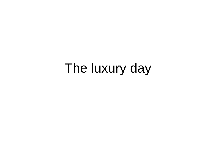#### The luxury day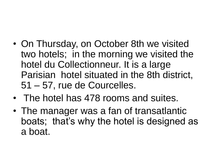- On Thursday, on October 8th we visited two hotels; in the morning we visited the hotel du Collectionneur. It is a large Parisian hotel situated in the 8th district, 51 – 57, rue de Courcelles.
- The hotel has 478 rooms and suites.
- The manager was a fan of transatlantic boats; that's why the hotel is designed as a boat.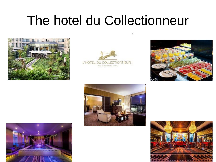## The hotel du Collectionneur











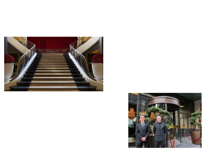

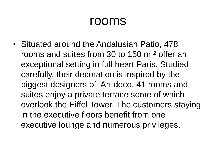#### rooms

• Situated around the Andalusian Patio, 478 rooms and suites from 30 to 150 m ² offer an exceptional setting in full heart Paris. Studied carefully, their decoration is inspired by the biggest designers of Art deco. 41 rooms and suites enjoy a private terrace some of which overlook the Eiffel Tower. The customers staying in the executive floors benefit from one executive lounge and numerous privileges.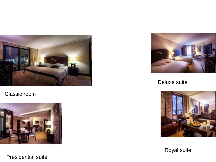

#### Classic room



Presidential suite



Deluxe suite



Royal suite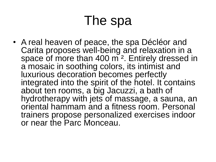# The spa

• A real heaven of peace, the spa Décléor and Carita proposes well-being and relaxation in a space of more than 400 m<sup>2</sup>. Entirely dressed in a mosaic in soothing colors, its intimist and luxurious decoration becomes perfectly integrated into the spirit of the hotel. It contains about ten rooms, a big Jacuzzi, a bath of hydrotherapy with jets of massage, a sauna, an oriental hammam and a fitness room. Personal trainers propose personalized exercises indoor or near the Parc Monceau.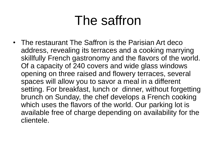## The saffron

• The restaurant The Saffron is the Parisian Art deco address, revealing its terraces and a cooking marrying skillfully French gastronomy and the flavors of the world. Of a capacity of 240 covers and wide glass windows opening on three raised and flowery terraces, several spaces will allow you to savor a meal in a different setting. For breakfast, lunch or dinner, without forgetting brunch on Sunday, the chef develops a French cooking which uses the flavors of the world. Our parking lot is available free of charge depending on availability for the clientele.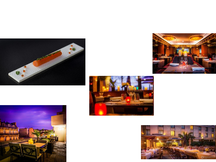







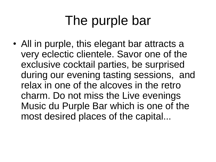# The purple bar

• All in purple, this elegant bar attracts a very eclectic clientele. Savor one of the exclusive cocktail parties, be surprised during our evening tasting sessions, and relax in one of the alcoves in the retro charm. Do not miss the Live evenings Music du Purple Bar which is one of the most desired places of the capital...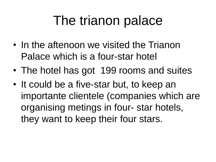# The trianon palace

- In the aftenoon we visited the Trianon Palace which is a four-star hotel
- The hotel has got 199 rooms and suites
- It could be a five-star but, to keep an importante clientele (companies which are organising metings in four- star hotels, they want to keep their four stars.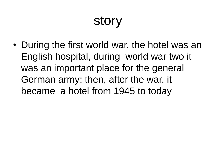# story

• During the first world war, the hotel was an English hospital, during world war two it was an important place for the general German army; then, after the war, it became a hotel from 1945 to today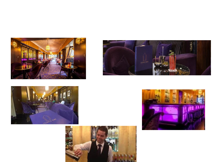







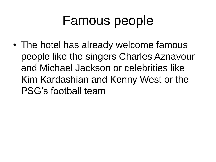## Famous people

• The hotel has already welcome famous people like the singers Charles Aznavour and Michael Jackson or celebrities like Kim Kardashian and Kenny West or the PSG's football team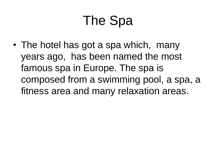# The Spa

• The hotel has got a spa which, many years ago, has been named the most famous spa in Europe. The spa is composed from a swimming pool, a spa, a fitness area and many relaxation areas.